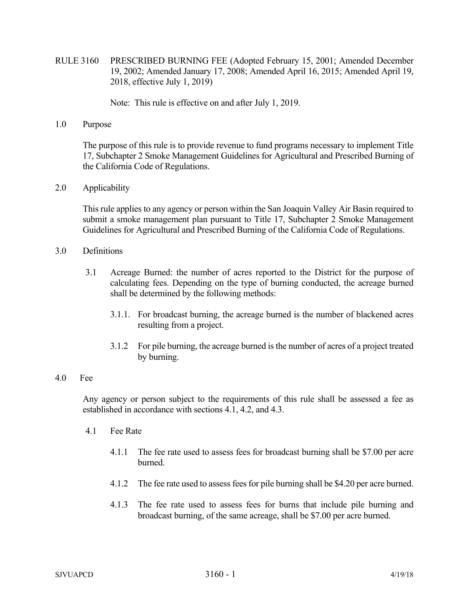RULE 3160 PRESCRIBED BURNING FEE (Adopted February 15, 2001; Amended December 19, 2002; Amended January 17, 2008; Amended April 16, 2015; Amended April 19, 2018, effective July 1, 2019)

Note: This rule is effective on and after July 1, 2019.

1.0 Purpose

The purpose of this rule is to provide revenue to fund programs necessary to implement Title 17, Subchapter 2 Smoke Management Guidelines for Agricultural and Prescribed Burning of the California Code of Regulations.

2.0 Applicability

 This rule applies to any agency or person within the San Joaquin Valley Air Basin required to submit a smoke management plan pursuant to Title 17, Subchapter 2 Smoke Management Guidelines for Agricultural and Prescribed Burning of the California Code of Regulations.

- 3.0 Definitions
	- 3.1 Acreage Burned: the number of acres reported to the District for the purpose of calculating fees. Depending on the type of burning conducted, the acreage burned shall be determined by the following methods:
		- 3.1.1. For broadcast burning, the acreage burned is the number of blackened acres resulting from a project.
		- 3.1.2 For pile burning, the acreage burned is the number of acres of a project treated by burning.

## 4.0 Fee

 Any agency or person subject to the requirements of this rule shall be assessed a fee as established in accordance with sections 4.1, 4.2, and 4.3.

- 4.1 Fee Rate
	- 4.1.1 The fee rate used to assess fees for broadcast burning shall be \$7.00 per acre burned.
	- 4.1.2 The fee rate used to assess fees for pile burning shall be \$4.20 per acre burned.
	- 4.1.3 The fee rate used to assess fees for burns that include pile burning and broadcast burning, of the same acreage, shall be \$7.00 per acre burned.